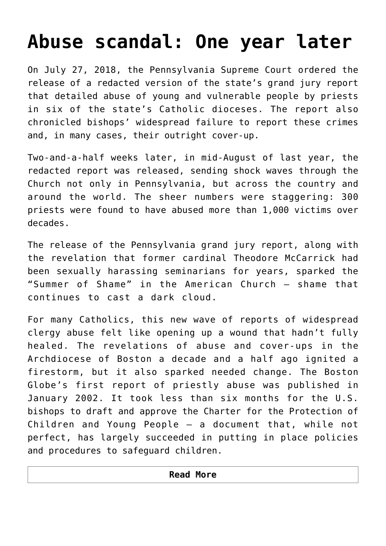## **[Abuse scandal: One year later](https://www.osvnews.com/2019/07/17/abuse-scandal-one-year-later/)**

On July 27, 2018, the Pennsylvania Supreme Court ordered the release of a redacted version of the state's grand jury report that detailed abuse of young and vulnerable people by priests in six of the state's Catholic dioceses. The report also chronicled bishops' widespread failure to report these crimes and, in many cases, their outright cover-up.

Two-and-a-half weeks later, in mid-August of last year, the redacted report was released, sending shock waves through the Church not only in Pennsylvania, but across the country and around the world. The sheer numbers were staggering: 300 priests were found to have abused more than 1,000 victims over decades.

The release of the Pennsylvania grand jury report, along with the revelation that former cardinal Theodore McCarrick had been sexually harassing seminarians for years, sparked the "Summer of Shame" in the American Church — shame that continues to cast a dark cloud.

For many Catholics, this new wave of reports of widespread clergy abuse felt like opening up a wound that hadn't fully healed. The revelations of abuse and cover-ups in the Archdiocese of Boston a decade and a half ago ignited a firestorm, but it also sparked needed change. The Boston Globe's first report of priestly abuse was published in January 2002. It took less than six months for the U.S. bishops to draft and approve the Charter for the Protection of Children and Young People — a document that, while not perfect, has largely succeeded in putting in place policies and procedures to safeguard children.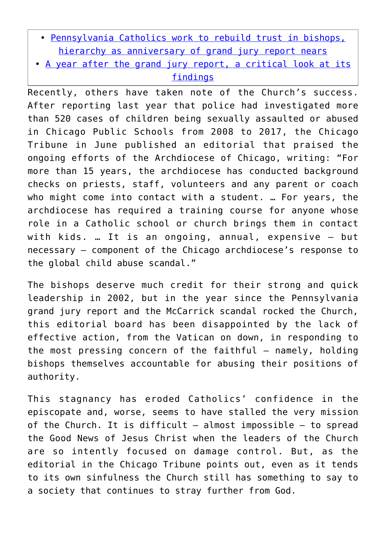- • [Pennsylvania Catholics work to rebuild trust in bishops,](https://www.osvnews.com/2019/07/17/pennsylvania-catholics-work-to-rebuild-trust-in-bishops-hierarchy-as-anniversary-of-grand-jury-report-nears/) [hierarchy as anniversary of grand jury report nears](https://www.osvnews.com/2019/07/17/pennsylvania-catholics-work-to-rebuild-trust-in-bishops-hierarchy-as-anniversary-of-grand-jury-report-nears/)
- • [A year after the grand jury report, a critical look at its](https://www.osvnews.com/2019/07/17/a-year-after-the-grand-jury-report-a-critical-look-at-its-findings/) [findings](https://www.osvnews.com/2019/07/17/a-year-after-the-grand-jury-report-a-critical-look-at-its-findings/)

Recently, others have taken note of the Church's success. After reporting last year that police had investigated more than 520 cases of children being sexually assaulted or abused in Chicago Public Schools from 2008 to 2017, the Chicago Tribune in June published an editorial that praised the ongoing efforts of the Archdiocese of Chicago, writing: "For more than 15 years, the archdiocese has conducted background checks on priests, staff, volunteers and any parent or coach who might come into contact with a student. … For years, the archdiocese has required a training course for anyone whose role in a Catholic school or church brings them in contact with kids. … It is an ongoing, annual, expensive — but necessary — component of the Chicago archdiocese's response to the global child abuse scandal."

The bishops deserve much credit for their strong and quick leadership in 2002, but in the year since the Pennsylvania grand jury report and the McCarrick scandal rocked the Church, this editorial board has been disappointed by the lack of effective action, from the Vatican on down, in responding to the most pressing concern of the faithful — namely, holding bishops themselves accountable for abusing their positions of authority.

This stagnancy has eroded Catholics' confidence in the episcopate and, worse, seems to have stalled the very mission of the Church. It is difficult  $-$  almost impossible  $-$  to spread the Good News of Jesus Christ when the leaders of the Church are so intently focused on damage control. But, as the editorial in the Chicago Tribune points out, even as it tends to its own sinfulness the Church still has something to say to a society that continues to stray further from God.